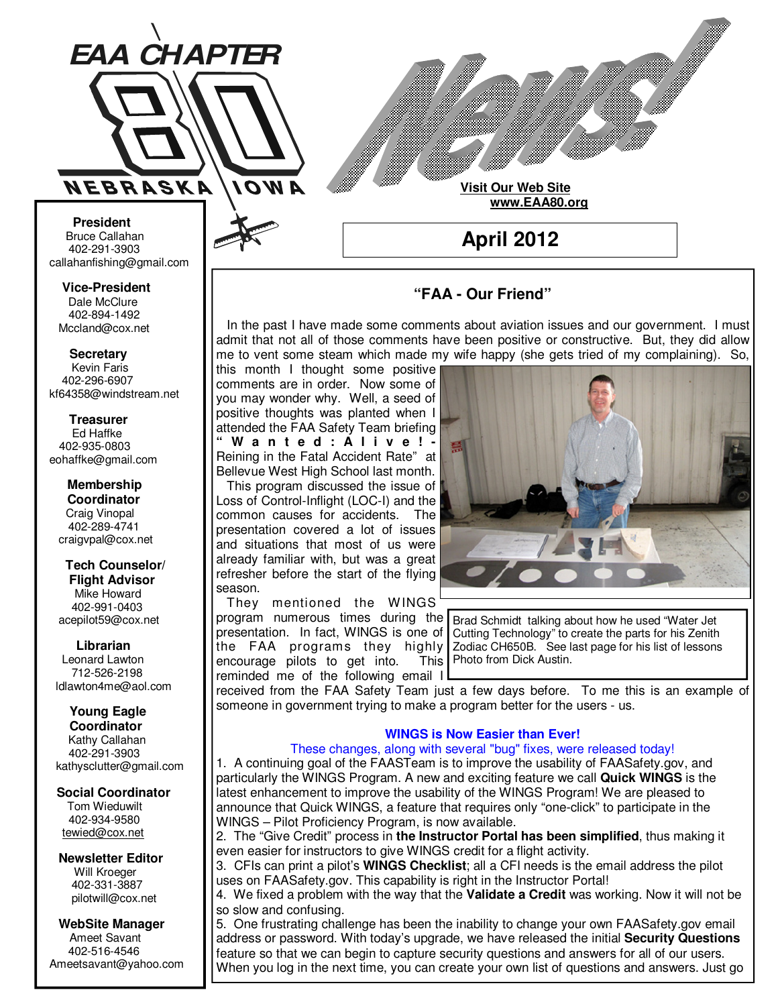

**Visit Our Web Site**

 **www.EAA80.org**

**April 2012** 

## **"FAA - Our Friend"**

 In the past I have made some comments about aviation issues and our government. I must admit that not all of those comments have been positive or constructive. But, they did allow me to vent some steam which made my wife happy (she gets tried of my complaining). So,

this month I thought some positive comments are in order. Now some of you may wonder why. Well, a seed of positive thoughts was planted when I attended the FAA Safety Team briefing **" W a n t e d : A l i v e ! -**  Reining in the Fatal Accident Rate" at Bellevue West High School last month. This program discussed the issue of Loss of Control-Inflight (LOC-I) and the common causes for accidents. The presentation covered a lot of issues and situations that most of us were already familiar with, but was a great refresher before the start of the flying season.

 They mentioned the WINGS program numerous times during the presentation. In fact, WINGS is one of encourage pilots to get into. reminded me of the following email I



the FAA programs they highly Zodiac CH650B. See last page for his list of lessons Brad Schmidt talking about how he used "Water Jet Cutting Technology" to create the parts for his Zenith This | Photo from Dick Austin.

received from the FAA Safety Team just a few days before. To me this is an example of someone in government trying to make a program better for the users - us.

## **WINGS is Now Easier than Ever!**

## These changes, along with several "bug" fixes, were released today!

1. A continuing goal of the FAASTeam is to improve the usability of FAASafety.gov, and particularly the WINGS Program. A new and exciting feature we call **Quick WINGS** is the latest enhancement to improve the usability of the WINGS Program! We are pleased to announce that Quick WINGS, a feature that requires only "one-click" to participate in the WINGS – Pilot Proficiency Program, is now available.

2. The "Give Credit" process in **the Instructor Portal has been simplified**, thus making it even easier for instructors to give WINGS credit for a flight activity.

3. CFIs can print a pilot's **WINGS Checklist**; all a CFI needs is the email address the pilot uses on FAASafety.gov. This capability is right in the Instructor Portal!

4. We fixed a problem with the way that the **Validate a Credit** was working. Now it will not be so slow and confusing.

5. One frustrating challenge has been the inability to change your own FAASafety.gov email address or password. With today's upgrade, we have released the initial **Security Questions** feature so that we can begin to capture security questions and answers for all of our users. When you log in the next time, you can create your own list of questions and answers. Just go

**Bruce Callahan** 402-291-3903 callahanfishing@gmail.com jrnuke@cox.net

Dale McClure 402-894-1492 Mccland@cox.net  **Vice-President** 

**Kevin Faris** 402-296-6907 kf64358@windstream.net  **Secretary** 

Ed Haffke 402-935-0803 eohaffke@gmail.com  **Treasurer** 

eohaffke@gmail.com **Membership Coordi- Coordinator**  Craig Vinopal Bob Cartwright 402-289-4741 craigvpal@cox.net  **Membership** 

robertc@novia.net **Tech Counselors & Flight Advisor** Mike Howard Bob Harvey 402-991-0403 acepilot59@cox.net  **Tech Counselor/** 

Leonard Lawton 402-991-0403 712-526-2198 ldlawton4me@aol.com  **Librarian**

# **Librarian Young Eagle**

**Coordinator** Kathy Callahan ldlawton4me@aol.com 402-291-3903 kathysclutter@gmail.com

## **Coordinator Social Coordinator**

Tom Wieduwilt 402-964-2645 402-934-9580 tewied@cox.net

**Newsletter Editor Newsletter Editor**  Will Kroeger Will Kroeger 402-331-3887 402-331-3887 pilotwill@cox.net

**WebSite Manager WebSite Manager**  Ameet Savant 402-516-4546 Ameet Savant<br>402-516-4546<br>Ameetsavant@yahoo.com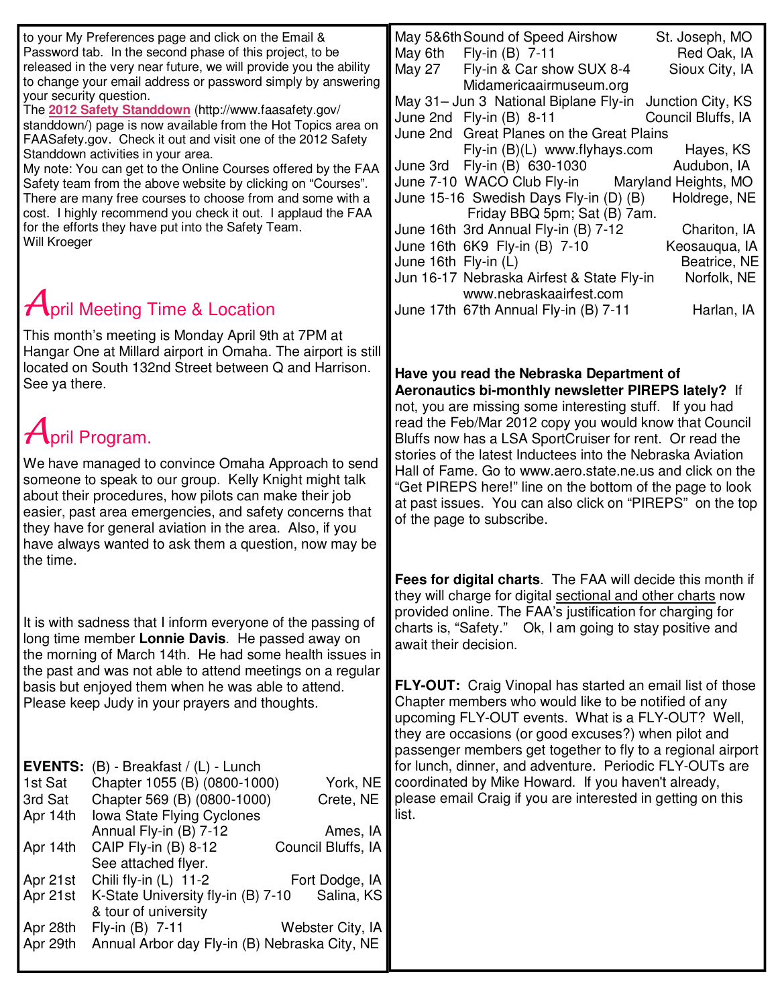| to your My Preferences page and click on the Email &<br>Password tab. In the second phase of this project, to be<br>released in the very near future, we will provide you the ability<br>to change your email address or password simply by answering<br>your security question.<br>The 2012 Safety Standdown (http://www.faasafety.gov/<br>standdown/) page is now available from the Hot Topics area on<br>FAASafety.gov. Check it out and visit one of the 2012 Safety<br>Standdown activities in your area.<br>My note: You can get to the Online Courses offered by the FAA<br>Safety team from the above website by clicking on "Courses".<br>There are many free courses to choose from and some with a<br>cost. I highly recommend you check it out. I applaud the FAA<br>for the efforts they have put into the Safety Team.<br>Will Kroeger | May 5&6th Sound of Speed Airshow<br>St. Joseph, MO<br>May 6th<br>Fly-in (B) 7-11<br>Red Oak, IA<br>Sioux City, IA<br>May 27<br>Fly-in & Car show SUX 8-4<br>Midamericaairmuseum.org<br>May 31- Jun 3 National Biplane Fly-in<br>Junction City, KS<br>June 2nd Fly-in (B) 8-11<br>Council Bluffs, IA<br>June 2nd Great Planes on the Great Plains<br>Fly-in (B)(L) www.flyhays.com<br>Hayes, KS<br>June 3rd Fly-in (B) 630-1030<br>Audubon, IA<br>June 7-10 WACO Club Fly-in<br>Maryland Heights, MO<br>June 15-16 Swedish Days Fly-in (D) (B)<br>Holdrege, NE<br>Friday BBQ 5pm; Sat (B) 7am.<br>June 16th 3rd Annual Fly-in (B) 7-12<br>Chariton, IA<br>June 16th 6K9 Fly-in (B) 7-10<br>Keosauqua, IA<br>June 16th Fly-in (L)<br>Beatrice, NE |
|-------------------------------------------------------------------------------------------------------------------------------------------------------------------------------------------------------------------------------------------------------------------------------------------------------------------------------------------------------------------------------------------------------------------------------------------------------------------------------------------------------------------------------------------------------------------------------------------------------------------------------------------------------------------------------------------------------------------------------------------------------------------------------------------------------------------------------------------------------|-------------------------------------------------------------------------------------------------------------------------------------------------------------------------------------------------------------------------------------------------------------------------------------------------------------------------------------------------------------------------------------------------------------------------------------------------------------------------------------------------------------------------------------------------------------------------------------------------------------------------------------------------------------------------------------------------------------------------------------------------|
| <b>April Meeting Time &amp; Location</b>                                                                                                                                                                                                                                                                                                                                                                                                                                                                                                                                                                                                                                                                                                                                                                                                              | Jun 16-17 Nebraska Airfest & State Fly-in<br>Norfolk, NE<br>www.nebraskaairfest.com<br>Harlan, IA<br>June 17th 67th Annual Fly-in (B) 7-11                                                                                                                                                                                                                                                                                                                                                                                                                                                                                                                                                                                                      |
| This month's meeting is Monday April 9th at 7PM at<br>Hangar One at Millard airport in Omaha. The airport is still<br>located on South 132nd Street between Q and Harrison.<br>See ya there.<br>$April$ Program.<br>We have managed to convince Omaha Approach to send<br>someone to speak to our group. Kelly Knight might talk<br>about their procedures, how pilots can make their job<br>easier, past area emergencies, and safety concerns that<br>they have for general aviation in the area. Also, if you<br>have always wanted to ask them a question, now may be<br>the time.                                                                                                                                                                                                                                                                | Have you read the Nebraska Department of<br>Aeronautics bi-monthly newsletter PIREPS lately? If<br>not, you are missing some interesting stuff. If you had<br>read the Feb/Mar 2012 copy you would know that Council<br>Bluffs now has a LSA SportCruiser for rent. Or read the<br>stories of the latest Inductees into the Nebraska Aviation<br>Hall of Fame. Go to www.aero.state.ne.us and click on the<br>"Get PIREPS here!" line on the bottom of the page to look<br>at past issues. You can also click on "PIREPS" on the top<br>of the page to subscribe.                                                                                                                                                                               |
| It is with sadness that I inform everyone of the passing of<br>long time member Lonnie Davis. He passed away on<br>the morning of March 14th. He had some health issues in<br>the past and was not able to attend meetings on a regular<br>basis but enjoyed them when he was able to attend.<br>Please keep Judy in your prayers and thoughts.                                                                                                                                                                                                                                                                                                                                                                                                                                                                                                       | Fees for digital charts. The FAA will decide this month if<br>they will charge for digital sectional and other charts now<br>provided online. The FAA's justification for charging for<br>charts is, "Safety." Ok, I am going to stay positive and<br>await their decision.<br><b>FLY-OUT:</b> Craig Vinopal has started an email list of those<br>Chapter members who would like to be notified of any<br>upcoming FLY-OUT events. What is a FLY-OUT? Well,<br>they are occasions (or good excuses?) when pilot and                                                                                                                                                                                                                            |
| EVENTS: (B) - Breakfast / (L) - Lunch<br>1st Sat<br>Chapter 1055 (B) (0800-1000)<br>York, NE<br>Chapter 569 (B) (0800-1000)<br>3rd Sat<br>Crete, NE<br>Apr 14th<br>Iowa State Flying Cyclones<br>Annual Fly-in (B) 7-12<br>Ames, IA<br>CAIP Fly-in (B) 8-12<br>Council Bluffs, IA<br>Apr 14th<br>See attached flyer.<br>Chili fly-in (L) 11-2<br>Fort Dodge, IA<br>Apr 21st<br>K-State University fly-in (B) 7-10<br>Salina, KS<br>Apr 21st<br>& tour of university<br>Webster City, IA<br>Fly-in $(B)$ 7-11<br>Apr 28th<br>Annual Arbor day Fly-in (B) Nebraska City, NE<br>Apr 29th                                                                                                                                                                                                                                                                 | passenger members get together to fly to a regional airport<br>for lunch, dinner, and adventure. Periodic FLY-OUTs are<br>coordinated by Mike Howard. If you haven't already,<br>please email Craig if you are interested in getting on this<br>list.                                                                                                                                                                                                                                                                                                                                                                                                                                                                                           |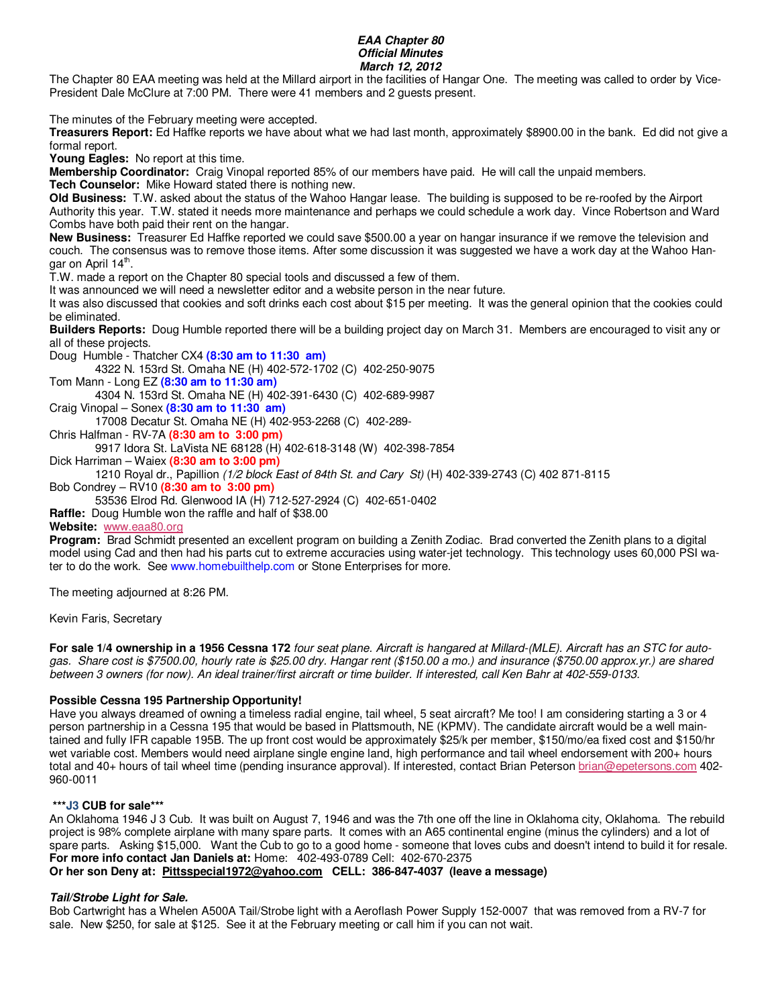#### **EAA Chapter 80 Official Minutes March 12, 2012**

The Chapter 80 EAA meeting was held at the Millard airport in the facilities of Hangar One. The meeting was called to order by Vice-President Dale McClure at 7:00 PM. There were 41 members and 2 guests present.

The minutes of the February meeting were accepted.

**Treasurers Report:** Ed Haffke reports we have about what we had last month, approximately \$8900.00 in the bank. Ed did not give a formal report.

**Young Eagles:** No report at this time.

**Membership Coordinator:** Craig Vinopal reported 85% of our members have paid. He will call the unpaid members. **Tech Counselor:** Mike Howard stated there is nothing new.

**Old Business:** T.W. asked about the status of the Wahoo Hangar lease. The building is supposed to be re-roofed by the Airport Authority this year. T.W. stated it needs more maintenance and perhaps we could schedule a work day. Vince Robertson and Ward Combs have both paid their rent on the hangar.

**New Business:** Treasurer Ed Haffke reported we could save \$500.00 a year on hangar insurance if we remove the television and couch. The consensus was to remove those items. After some discussion it was suggested we have a work day at the Wahoo Hangar on April 14<sup>th</sup>.

T.W. made a report on the Chapter 80 special tools and discussed a few of them.

It was announced we will need a newsletter editor and a website person in the near future.

It was also discussed that cookies and soft drinks each cost about \$15 per meeting. It was the general opinion that the cookies could be eliminated.

**Builders Reports:** Doug Humble reported there will be a building project day on March 31. Members are encouraged to visit any or all of these projects.

Doug Humble - Thatcher CX4 **(8:30 am to 11:30 am)** 

4322 N. 153rd St. Omaha NE (H) 402-572-1702 (C) 402-250-9075

Tom Mann - Long EZ **(8:30 am to 11:30 am)** 

4304 N. 153rd St. Omaha NE (H) 402-391-6430 (C) 402-689-9987

Craig Vinopal – Sonex **(8:30 am to 11:30 am)** 

17008 Decatur St. Omaha NE (H) 402-953-2268 (C) 402-289-

Chris Halfman - RV-7A **(8:30 am to 3:00 pm)** 

9917 Idora St. LaVista NE 68128 (H) 402-618-3148 (W) 402-398-7854

Dick Harriman – Waiex **(8:30 am to 3:00 pm)** 

1210 Royal dr., Papillion (1/2 block East of 84th St. and Cary St) (H) 402-339-2743 (C) 402 871-8115

Bob Condrey – RV10 **(8:30 am to 3:00 pm)** 

53536 Elrod Rd. Glenwood IA (H) 712-527-2924 (C) 402-651-0402

**Raffle:** Doug Humble won the raffle and half of \$38.00

#### **Website:** www.eaa80.org

**Program:** Brad Schmidt presented an excellent program on building a Zenith Zodiac. Brad converted the Zenith plans to a digital model using Cad and then had his parts cut to extreme accuracies using water-jet technology. This technology uses 60,000 PSI water to do the work. See www.homebuilthelp.com or Stone Enterprises for more.

The meeting adjourned at 8:26 PM.

Kevin Faris, Secretary

**For sale 1/4 ownership in a 1956 Cessna 172** four seat plane. Aircraft is hangared at Millard-(MLE). Aircraft has an STC for autogas. Share cost is \$7500.00, hourly rate is \$25.00 dry. Hangar rent (\$150.00 a mo.) and insurance (\$750.00 approx.yr.) are shared between 3 owners (for now). An ideal trainer/first aircraft or time builder. If interested, call Ken Bahr at 402-559-0133.

## **Possible Cessna 195 Partnership Opportunity!**

Have you always dreamed of owning a timeless radial engine, tail wheel, 5 seat aircraft? Me too! I am considering starting a 3 or 4 person partnership in a Cessna 195 that would be based in Plattsmouth, NE (KPMV). The candidate aircraft would be a well maintained and fully IFR capable 195B. The up front cost would be approximately \$25/k per member, \$150/mo/ea fixed cost and \$150/hr wet variable cost. Members would need airplane single engine land, high performance and tail wheel endorsement with 200+ hours total and 40+ hours of tail wheel time (pending insurance approval). If interested, contact Brian Peterson brian@epetersons.com 402- 960-0011

#### **\*\*\*J3 CUB for sale\*\*\***

An Oklahoma 1946 J 3 Cub. It was built on August 7, 1946 and was the 7th one off the line in Oklahoma city, Oklahoma. The rebuild project is 98% complete airplane with many spare parts. It comes with an A65 continental engine (minus the cylinders) and a lot of spare parts. Asking \$15,000. Want the Cub to go to a good home - someone that loves cubs and doesn't intend to build it for resale. **For more info contact Jan Daniels at:** Home: 402-493-0789 Cell: 402-670-2375

**Or her son Deny at: Pittsspecial1972@yahoo.com CELL: 386-847-4037 (leave a message)** 

## **Tail/Strobe Light for Sale.**

Bob Cartwright has a Whelen A500A Tail/Strobe light with a Aeroflash Power Supply 152-0007 that was removed from a RV-7 for sale. New \$250, for sale at \$125. See it at the February meeting or call him if you can not wait.